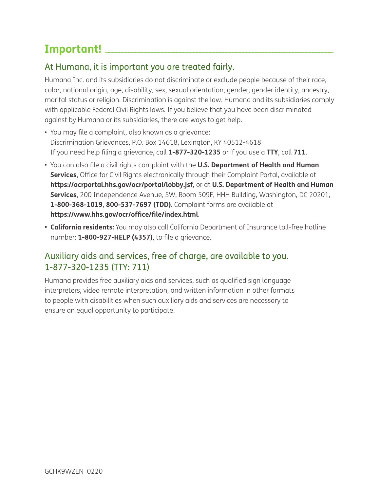# Important!

## At Humana, it is important you are treated fairly.

Humana Inc. and its subsidiaries do not discriminate or exclude people because of their race, color, national origin, age, disability, sex, sexual orientation, gender, gender identity, ancestry, marital status or religion. Discrimination is against the law. Humana and its subsidiaries comply with applicable Federal Civil Rights laws. If you believe that you have been discriminated against by Humana or its subsidiaries, there are ways to get help.

- You may file a complaint, also known as a grievance: Discrimination Grievances, P.O. Box 14618, Lexington, KY 40512-4618 If you need help filing a grievance, call **1-877-320-1235** or if you use a **TTY**, call **711**.
- You can also file a civil rights complaint with the **U.S. Department of Health and Human Services**, Office for Civil Rights electronically through their Complaint Portal, available at **https://ocrportal.hhs.gov/ocr/portal/lobby.jsf**, or at **U.S. Department of Health and Human Services**, 200 Independence Avenue, SW, Room 509F, HHH Building, Washington, DC 20201, **1-800-368-1019**, **800-537-7697 (TDD)**. Complaint forms are available at **https://www.hhs.gov/ocr/office/file/index.html**.
- **California residents:** You may also call California Department of Insurance toll-free hotline number: **1-800-927-HELP (4357)**, to file a grievance.

# Auxiliary aids and services, free of charge, are available to you. 1-877-320-1235 (TTY: 711)

Humana provides free auxiliary aids and services, such as qualified sign language interpreters, video remote interpretation, and written information in other formats to people with disabilities when such auxiliary aids and services are necessary to ensure an equal opportunity to participate.